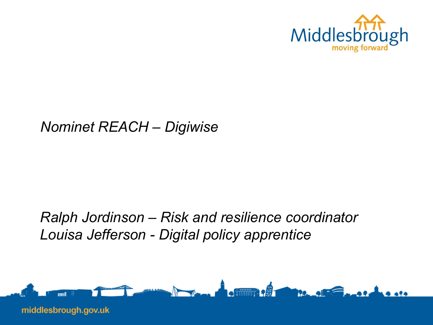

#### *Nominet REACH – Digiwise*

#### *Ralph Jordinson – Risk and resilience coordinator Louisa Jefferson - Digital policy apprentice*

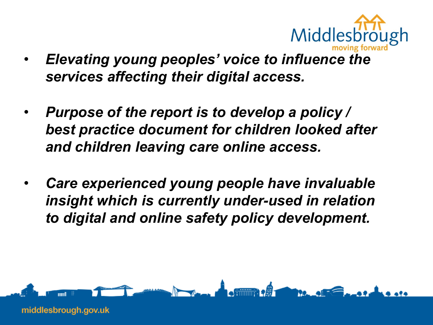

- *Elevating young peoples' voice to influence the services affecting their digital access.*
- *Purpose of the report is to develop a policy / best practice document for children looked after and children leaving care online access.*
- *Care experienced young people have invaluable insight which is currently under-used in relation to digital and online safety policy development.*

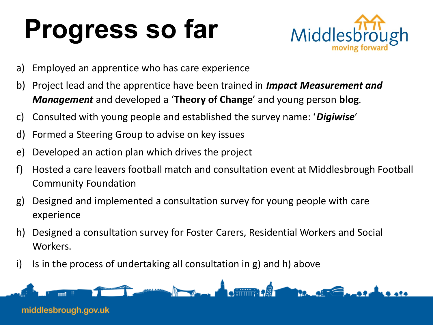# **Progress so far**



- a) Employed an apprentice who has care experience
- b) Project lead and the apprentice have been trained in *Impact Measurement and Management* and developed a '**Theory of Change**' and young person **blog**.
- c) Consulted with young people and established the survey name: '*Digiwise*'
- d) Formed a Steering Group to advise on key issues
- e) Developed an action plan which drives the project
- f) Hosted a care leavers football match and consultation event at Middlesbrough Football Community Foundation
- g) Designed and implemented a consultation survey for young people with care experience
- h) Designed a consultation survey for Foster Carers, Residential Workers and Social Workers.
- i) Is in the process of undertaking all consultation in g) and h) above

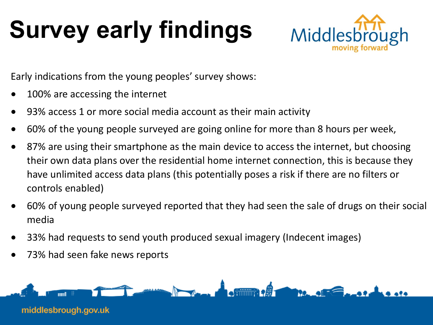## **Survey early findings**



Early indications from the young peoples' survey shows:

- 100% are accessing the internet
- 93% access 1 or more social media account as their main activity
- 60% of the young people surveyed are going online for more than 8 hours per week,
- 87% are using their smartphone as the main device to access the internet, but choosing their own data plans over the residential home internet connection, this is because they have unlimited access data plans (this potentially poses a risk if there are no filters or controls enabled)
- 60% of young people surveyed reported that they had seen the sale of drugs on their social media
- 33% had requests to send youth produced sexual imagery (Indecent images)
- 73% had seen fake news reports

middlesbrough.gov.uk

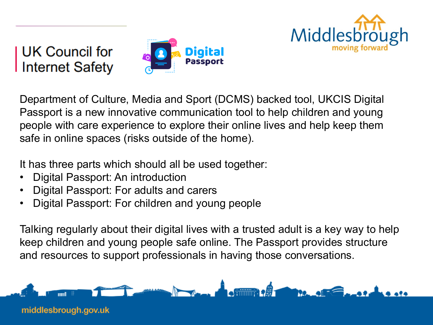

**UK Council for<br>Internet Safety** 



Department of Culture, Media and Sport (DCMS) backed tool, UKCIS Digital Passport is a new innovative communication tool to help children and young people with care experience to explore their online lives and help keep them safe in online spaces (risks outside of the home).

It has three parts which should all be used together:

- Digital Passport: An introduction
- Digital Passport: For adults and carers
- Digital Passport: For children and young people

Talking regularly about their digital lives with a trusted adult is a key way to help keep children and young people safe online. The Passport provides structure and resources to support professionals in having those conversations.



middlesbrough.gov.uk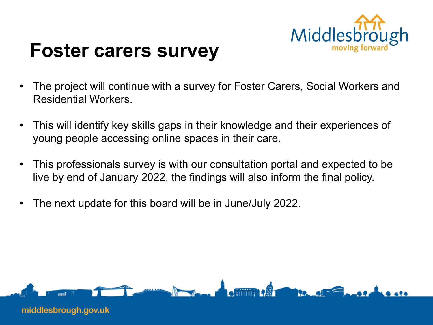

### **Foster carers survey**

- The project will continue with a survey for Foster Carers, Social Workers and Residential Workers.
- This will identify key skills gaps in their knowledge and their experiences of young people accessing online spaces in their care.
- This professionals survey is with our consultation portal and expected to be live by end of January 2022, the findings will also inform the final policy.
- The next update for this board will be in June/July 2022.